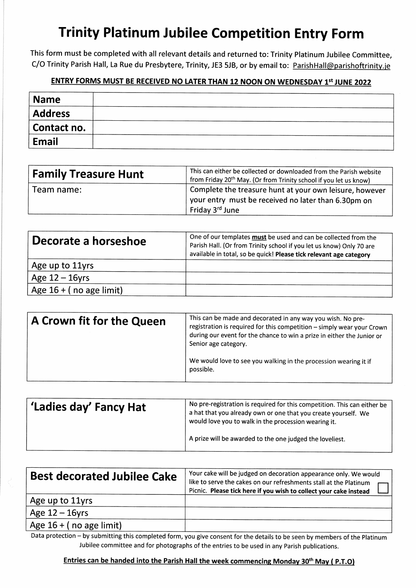# Trinity Platinum Jubilee competition Entry Form

This form must be completed with all relevant details and returned to: Trinity Platinum Jubilee Committee, C/O Trinity Parish Hall, La Rue du Presbytere, Trinity, JE3 5JB, or by email to: ParishHall@parishoftrinity.je

### ENTRY FORMS MUST BE RECEIVED NO LATER THAN 12 NOON ON WEDNESDAY 1st JUNE 2022

| <b>Name</b>    |  |
|----------------|--|
| <b>Address</b> |  |
| Contact no.    |  |
| Email          |  |

| <b>Family Treasure Hunt</b> | This can either be collected or downloaded from the Parish website<br>from Friday 20 <sup>th</sup> May. (Or from Trinity school if you let us know) |  |
|-----------------------------|-----------------------------------------------------------------------------------------------------------------------------------------------------|--|
| Team name:                  | Complete the treasure hunt at your own leisure, however<br>your entry must be received no later than 6.30pm on<br>Friday 3rd June                   |  |

| Decorate a horseshoe      | One of our templates must be used and can be collected from the<br>Parish Hall. (Or from Trinity school if you let us know) Only 70 are<br>available in total, so be quick! Please tick relevant age category |  |
|---------------------------|---------------------------------------------------------------------------------------------------------------------------------------------------------------------------------------------------------------|--|
| Age up to 11yrs           |                                                                                                                                                                                                               |  |
| Age $12 - 16$ yrs         |                                                                                                                                                                                                               |  |
| Age $16 + (no age limit)$ |                                                                                                                                                                                                               |  |

| A Crown fit for the Queen | This can be made and decorated in any way you wish. No pre-<br>registration is required for this competition - simply wear your Crown<br>during our event for the chance to win a prize in either the Junior or<br>Senior age category. |  |
|---------------------------|-----------------------------------------------------------------------------------------------------------------------------------------------------------------------------------------------------------------------------------------|--|
|                           | We would love to see you walking in the procession wearing it if<br>possible.                                                                                                                                                           |  |

| No pre-registration is required for this competition. This can either be<br>'Ladies day' Fancy Hat<br>a hat that you already own or one that you create yourself. We<br>would love you to walk in the procession wearing it.<br>A prize will be awarded to the one judged the loveliest. |  |
|------------------------------------------------------------------------------------------------------------------------------------------------------------------------------------------------------------------------------------------------------------------------------------------|--|
|                                                                                                                                                                                                                                                                                          |  |

| <b>Best decorated Jubilee Cake</b> | Your cake will be judged on decoration appearance only. We would<br>like to serve the cakes on our refreshments stall at the Platinum<br>Picnic. Please tick here if you wish to collect your cake instead |  |  |
|------------------------------------|------------------------------------------------------------------------------------------------------------------------------------------------------------------------------------------------------------|--|--|
| Age up to 11yrs                    |                                                                                                                                                                                                            |  |  |
| Age $12 - 16$ yrs                  |                                                                                                                                                                                                            |  |  |
| Age $16 + (no$ age limit)          |                                                                                                                                                                                                            |  |  |

Data protection - by submitting this completed form, you give consent for the details to be seen by members of the Platinum Jubilee committee and for photographs of the entries to be used in any Parish publications.

#### Entries can be handed into the Parish Hall the week commencing Monday 30<sup>th</sup> May ( P.T.O)